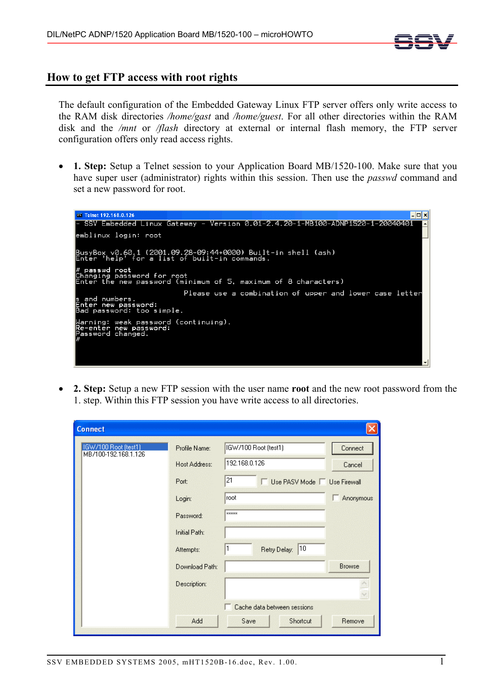

## **How to get FTP access with root rights**

The default configuration of the Embedded Gateway Linux FTP server offers only write access to the RAM disk directories */home/gast* and */home/guest*. For all other directories within the RAM disk and the */mnt* or */flash* directory at external or internal flash memory, the FTP server configuration offers only read access rights.

• **1. Step:** Setup a Telnet session to your Application Board MB/1520-100. Make sure that you have super user (administrator) rights within this session. Then use the *passwd* command and set a new password for root.



• **2. Step:** Setup a new FTP session with the user name **root** and the new root password from the 1. step. Within this FTP session you have write access to all directories.

| <b>Connect</b>                               |                |                                    |
|----------------------------------------------|----------------|------------------------------------|
| IGW/100 Root (test1)<br>MB/100-192.168.1.126 | Profile Name:  | IGW/100 Root (test1)<br>Connect    |
|                                              | Host Address:  | 192.168.0.126<br>Cancel            |
|                                              | Port:          | 21<br>Use PASV Mode   Use Firewall |
|                                              | Login:         | Iroot<br>Anonymous<br>г            |
|                                              | Password:      | xxxxx                              |
|                                              | Initial Path:  | <b>MANAIN</b>                      |
|                                              | Attempts:      | $ 10\rangle$<br>Retry Delay:       |
|                                              | Download Path: | <b>Browse</b>                      |
|                                              | Description:   |                                    |
|                                              |                | Cache data between sessions        |
|                                              |                |                                    |
|                                              | Add            | Save<br>Shortcut<br>Remove         |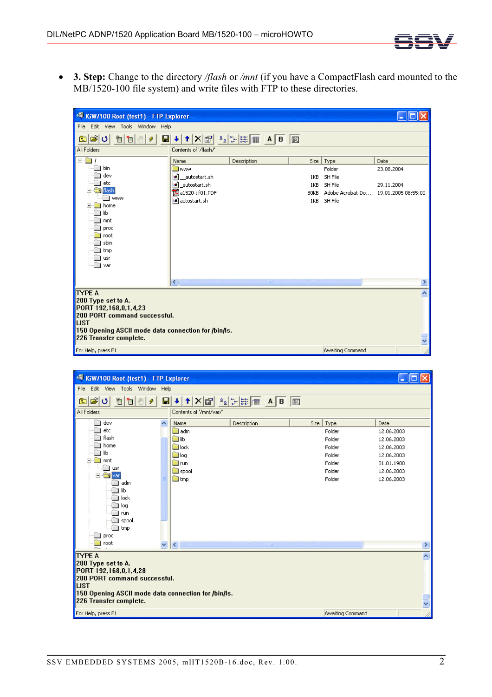

• **3. Step:** Change to the directory */flash* or */mnt* (if you have a CompactFlash card mounted to the MB/1520-100 file system) and write files with FTP to these directories.

| ◎ IGW/100 Root (test1) - FTP Explorer<br>i.           |                                                                                           |             |                  |      |                  |                                      |  |  |  |  |  |
|-------------------------------------------------------|-------------------------------------------------------------------------------------------|-------------|------------------|------|------------------|--------------------------------------|--|--|--|--|--|
| File Edit View Tools Window Help                      |                                                                                           |             |                  |      |                  |                                      |  |  |  |  |  |
| తి∣ ర∏<br>有怕心<br>Ы<br>$\boldsymbol{\mathcal{G}}$<br>国 | $\uparrow$ $\times$ $\circ$ $\circ$ $\circ$ $\circ$ $\circ$ $\bullet$ $\bullet$ $\bullet$ |             |                  | E    |                  |                                      |  |  |  |  |  |
| All Folders                                           | Contents of '/flash/'                                                                     |             |                  |      |                  |                                      |  |  |  |  |  |
| ñ.<br>$\Box$                                          | Name                                                                                      | Description |                  | Size | Type             | Date                                 |  |  |  |  |  |
| bin                                                   | <b>B</b> www                                                                              |             |                  |      | Folder           | 23.08.2004                           |  |  |  |  |  |
| dev                                                   | E.<br>autostart.sh                                                                        |             |                  | 1KB  | SH File          |                                      |  |  |  |  |  |
| etc                                                   | la 1<br>autostart.sh                                                                      |             |                  | 1KB  | SH File          | 29.11.2004                           |  |  |  |  |  |
| <b>Exp</b> Flash<br><b>WWW</b>                        | Aa1520-tif01.PDF                                                                          |             |                  | 80KB |                  | Adobe Acrobat-Do 19.01.2005 08:55:00 |  |  |  |  |  |
| home                                                  | al autostart.sh                                                                           |             |                  | 1KB  | SH File          |                                      |  |  |  |  |  |
| liЬ                                                   |                                                                                           |             |                  |      |                  |                                      |  |  |  |  |  |
| mnt                                                   |                                                                                           |             |                  |      |                  |                                      |  |  |  |  |  |
| proc                                                  |                                                                                           |             |                  |      |                  |                                      |  |  |  |  |  |
| root                                                  |                                                                                           |             |                  |      |                  |                                      |  |  |  |  |  |
| sbin                                                  |                                                                                           |             |                  |      |                  |                                      |  |  |  |  |  |
| tmp                                                   |                                                                                           |             |                  |      |                  |                                      |  |  |  |  |  |
| usr<br>var                                            |                                                                                           |             |                  |      |                  |                                      |  |  |  |  |  |
|                                                       |                                                                                           |             |                  |      |                  |                                      |  |  |  |  |  |
|                                                       | $\left\langle \right\rangle$                                                              |             | THE <sub>1</sub> |      |                  | $\rightarrow$                        |  |  |  |  |  |
| <b>TYPE A</b>                                         |                                                                                           |             |                  |      |                  | $\hat{\phantom{a}}$                  |  |  |  |  |  |
| 200 Type set to A.                                    |                                                                                           |             |                  |      |                  |                                      |  |  |  |  |  |
| PORT 192,168,0,1,4,23                                 |                                                                                           |             |                  |      |                  |                                      |  |  |  |  |  |
| 200 PORT command successful.                          |                                                                                           |             |                  |      |                  |                                      |  |  |  |  |  |
| <b>ILIST</b>                                          |                                                                                           |             |                  |      |                  |                                      |  |  |  |  |  |
| 150 Opening ASCII mode data connection for /bin/ls.   |                                                                                           |             |                  |      |                  |                                      |  |  |  |  |  |
| 226 Transfer complete.                                |                                                                                           |             |                  |      |                  | $\overline{\cdot}$                   |  |  |  |  |  |
| For Help, press F1                                    |                                                                                           |             |                  |      | Awaiting Command |                                      |  |  |  |  |  |

| • TIGW/100 Root (test1) - FTP Explorer<br>e                                                                                                                                                      |              |                                                                                     |      |                                              |                                                              |      |  |  |  |  |  |
|--------------------------------------------------------------------------------------------------------------------------------------------------------------------------------------------------|--------------|-------------------------------------------------------------------------------------|------|----------------------------------------------|--------------------------------------------------------------|------|--|--|--|--|--|
| Edit View Tools Window Help<br>File                                                                                                                                                              |              |                                                                                     |      |                                              |                                                              |      |  |  |  |  |  |
| ౹త త<br>$X$ $\left  \frac{a}{b} \right  = \frac{1}{2}$ $\left  \frac{a}{b} \right  = \frac{a}{b}$<br>渹<br>$\blacksquare$<br>间<br>$\pmb{\phi}$<br>$\sqrt{m_{\rm p}}$<br>₩<br>E<br>圍<br>$\uparrow$ |              |                                                                                     |      |                                              |                                                              |      |  |  |  |  |  |
| All Folders                                                                                                                                                                                      |              | Contents of '/mnt/var/'                                                             |      |                                              |                                                              |      |  |  |  |  |  |
| dev<br>ा<br>etc<br>flash<br>home<br>lib                                                                                                                                                          | ۸            | Description<br>Name<br><b>Madm</b><br><b>Boot</b> lib<br><b>Del</b> lock<br>ill log | Size | Type<br>Folder<br>Folder<br>Folder<br>Folder | Date<br>12.06.2003<br>12.06.2003<br>12.06.2003<br>12.06.2003 |      |  |  |  |  |  |
| <b>M</b> mnt<br>F<br><b>USI</b><br><b>By</b> var<br>F<br>adm<br>lib<br>lock<br>log<br>run<br>spool<br>tmp<br>proc                                                                                |              | <b>Re</b> run<br>$\Box$ spool<br>tmp                                                |      | Folder<br>Folder<br>Folder                   | 01.01.1980<br>12.06.2003<br>12.06.2003                       |      |  |  |  |  |  |
| root                                                                                                                                                                                             | $\checkmark$ | $\vert$ < $\vert$<br>THE                                                            |      |                                              |                                                              | $\,$ |  |  |  |  |  |
| <b>TYPE A</b><br>200 Type set to A.<br>PORT 192,168,0,1,4,28<br>200 PORT command successful.<br>ILIST<br>150 Opening ASCII mode data connection for /bin/ls.<br>226 Transfer complete.           |              |                                                                                     |      |                                              |                                                              |      |  |  |  |  |  |
| For Help, press F1                                                                                                                                                                               |              |                                                                                     |      | Awaiting Command                             |                                                              |      |  |  |  |  |  |